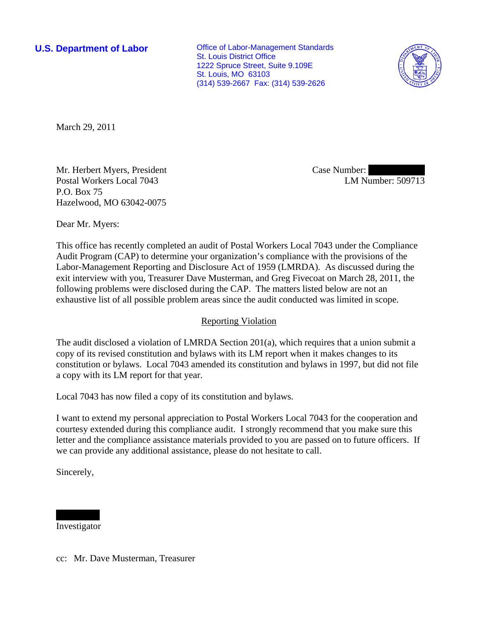**U.S. Department of Labor Conservative Conservative Conservative Conservative Conservative Conservative Conservative Conservative Conservative Conservative Conservative Conservative Conservative Conservative Conservative** St. Louis District Office 1222 Spruce Street, Suite 9.109E St. Louis, MO 63103 (314) 539-2667 Fax: (314) 539-2626



March 29, 2011

Mr. Herbert Myers, President Postal Workers Local 7043 P.O. Box 75 Hazelwood, MO 63042-0075

Case Number: LM Number: 509713

Dear Mr. Myers:

This office has recently completed an audit of Postal Workers Local 7043 under the Compliance Audit Program (CAP) to determine your organization's compliance with the provisions of the Labor-Management Reporting and Disclosure Act of 1959 (LMRDA). As discussed during the exit interview with you, Treasurer Dave Musterman, and Greg Fivecoat on March 28, 2011, the following problems were disclosed during the CAP. The matters listed below are not an exhaustive list of all possible problem areas since the audit conducted was limited in scope.

## Reporting Violation

The audit disclosed a violation of LMRDA Section 201(a), which requires that a union submit a copy of its revised constitution and bylaws with its LM report when it makes changes to its constitution or bylaws. Local 7043 amended its constitution and bylaws in 1997, but did not file a copy with its LM report for that year.

Local 7043 has now filed a copy of its constitution and bylaws.

I want to extend my personal appreciation to Postal Workers Local 7043 for the cooperation and courtesy extended during this compliance audit. I strongly recommend that you make sure this letter and the compliance assistance materials provided to you are passed on to future officers. If we can provide any additional assistance, please do not hesitate to call.

Sincerely,

||||||||||||||| ||||||| Investigator

cc: Mr. Dave Musterman, Treasurer